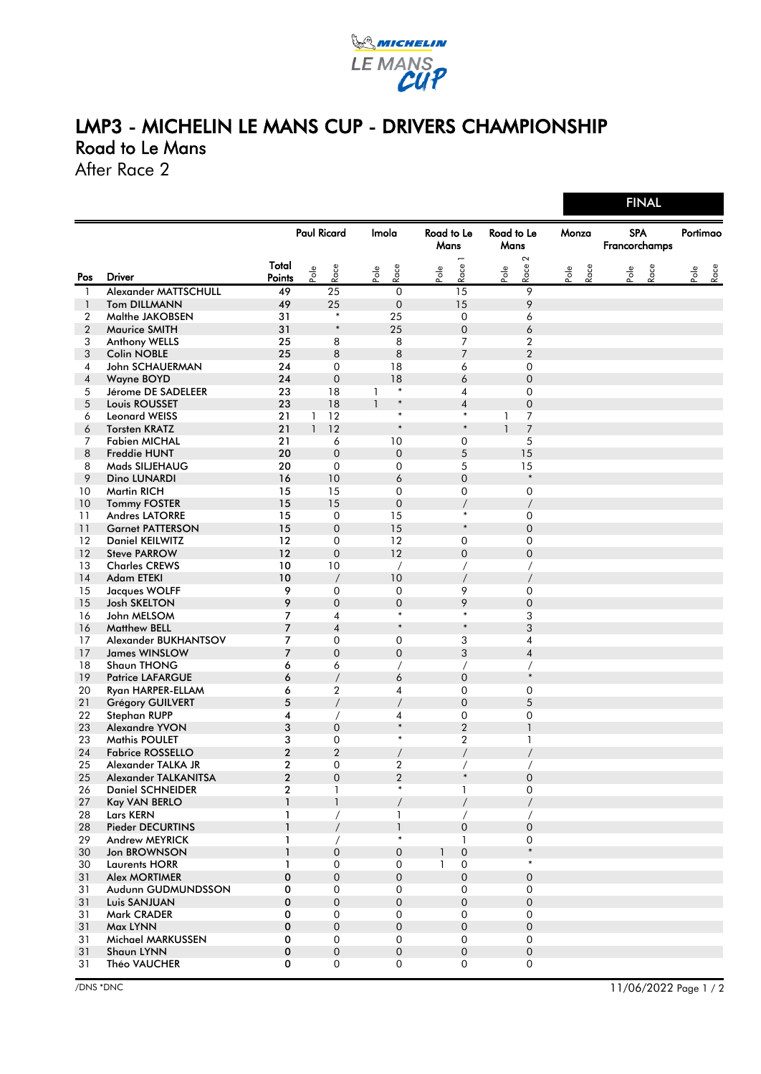

## LMP3 - MICHELIN LE MANS CUP - DRIVERS CHAMPIONSHIP Road to Le Mans

After Race 2

|                |                                       |                    |              |                  |                 |                  |                    |                     |                    |                          | .               |      |                             |      |      |          |      |
|----------------|---------------------------------------|--------------------|--------------|------------------|-----------------|------------------|--------------------|---------------------|--------------------|--------------------------|-----------------|------|-----------------------------|------|------|----------|------|
|                |                                       | <b>Paul Ricard</b> |              |                  | Imola           |                  | Road to Le<br>Mans |                     | Road to Le<br>Mans |                          | Monza           |      | <b>SPA</b><br>Francorchamps |      |      | Portimao |      |
|                |                                       | Total              | Pole         | Race             | $\mathsf{Pole}$ | Race             | Pole               | Race                | Pole               | 2<br>Race                | $\mathsf{Pole}$ | Race |                             | Pole | Race | Pole     | Race |
| Pos            | <b>Driver</b>                         | Points             |              |                  |                 |                  |                    |                     |                    |                          |                 |      |                             |      |      |          |      |
| 1              | Alexander MATTSCHULL                  | 49                 |              | 25               |                 | $\mathbf 0$      |                    | 15                  |                    | $\overline{9}$           |                 |      |                             |      |      |          |      |
| $\mathbf{1}$   | <b>Tom DILLMANN</b>                   | 49                 |              | 25<br>$\ast$     |                 | $\mathbf 0$      |                    | 15                  |                    | 9                        |                 |      |                             |      |      |          |      |
| 2              | Malthe JAKOBSEN                       | 31                 |              | $\ast$           |                 | 25               |                    | $\mathbf 0$         |                    | 6                        |                 |      |                             |      |      |          |      |
| $\overline{2}$ | <b>Maurice SMITH</b>                  | 31                 |              |                  |                 | 25               |                    | $\boldsymbol{0}$    |                    | 6                        |                 |      |                             |      |      |          |      |
| 3              | <b>Anthony WELLS</b>                  | 25<br>25           |              | 8                |                 | 8<br>8           |                    | 7<br>$\overline{7}$ |                    | 2<br>$\overline{2}$      |                 |      |                             |      |      |          |      |
| 3              | <b>Colin NOBLE</b><br>John SCHAUERMAN | 24                 |              | 8<br>$\mathbf 0$ |                 | 18               |                    | 6                   |                    | 0                        |                 |      |                             |      |      |          |      |
| 4<br>4         | Wayne BOYD                            | 24                 |              | $\mathbf 0$      |                 | 18               |                    | 6                   |                    | $\mathbf 0$              |                 |      |                             |      |      |          |      |
| 5              | Jérome DE SADELEER                    | 23                 |              | 18               | 1               | $\ast$           |                    | 4                   |                    | 0                        |                 |      |                             |      |      |          |      |
| 5              | Louis ROUSSET                         | 23                 |              | 18               | $\mathbf{1}$    | $\ast$           |                    | $\overline{4}$      |                    | $\boldsymbol{0}$         |                 |      |                             |      |      |          |      |
| 6              | <b>Leonard WEISS</b>                  | 21                 | 1            | 12               |                 | $\ast$           |                    | $\ast$              | 1                  | 7                        |                 |      |                             |      |      |          |      |
| 6              | <b>Torsten KRATZ</b>                  | 21                 | $\mathbf{1}$ | 12               |                 | $\ast$           |                    | $\ast$              | $\mathbf{1}$       | $\overline{7}$           |                 |      |                             |      |      |          |      |
| 7              | <b>Fabien MICHAL</b>                  | 21                 |              | 6                |                 | 10               |                    | 0                   |                    | 5                        |                 |      |                             |      |      |          |      |
| 8              | <b>Freddie HUNT</b>                   | 20                 |              | $\boldsymbol{0}$ |                 | $\mathbf 0$      |                    | 5                   |                    | 15                       |                 |      |                             |      |      |          |      |
| 8              | Mads SILJEHAUG                        | 20                 |              | $\mathbf 0$      |                 | $\mathbf 0$      |                    | 5                   |                    | 15                       |                 |      |                             |      |      |          |      |
| 9              | Dino LUNARDI                          | 16                 |              | 10               |                 | 6                |                    | $\overline{0}$      |                    | $\ast$                   |                 |      |                             |      |      |          |      |
| 10             | <b>Martin RICH</b>                    | 15                 |              | 15               |                 | $\mathbf 0$      |                    | 0                   |                    | $\mathbf 0$              |                 |      |                             |      |      |          |      |
| 10             | <b>Tommy FOSTER</b>                   | 15                 |              | 15               |                 | $\mathbf 0$      |                    | $\overline{1}$      |                    | $\sqrt{\phantom{a}}$     |                 |      |                             |      |      |          |      |
| 11             | <b>Andres LATORRE</b>                 | 15                 |              | 0                |                 | 15               |                    | $\ast$              |                    | $\mathbf 0$              |                 |      |                             |      |      |          |      |
| 11             | <b>Garnet PATTERSON</b>               | 15                 |              | $\mathbf 0$      |                 | 15               |                    | $\ast$              |                    | $\boldsymbol{0}$         |                 |      |                             |      |      |          |      |
| 12             | <b>Daniel KEILWITZ</b>                | 12                 |              | 0                |                 | 12               |                    | 0                   |                    | 0                        |                 |      |                             |      |      |          |      |
| 12             | <b>Steve PARROW</b>                   | 12                 |              | $\mathbf{0}$     |                 | 12               |                    | 0                   |                    | $\boldsymbol{0}$         |                 |      |                             |      |      |          |      |
| 13             | <b>Charles CREWS</b>                  | 10                 |              | 10               |                 | $\prime$         |                    | $\sqrt{2}$          |                    | $\sqrt{2}$               |                 |      |                             |      |      |          |      |
| 14             | <b>Adam ETEKI</b>                     | 10                 |              | $\overline{1}$   |                 | 10               |                    | $\prime$            |                    | $\prime$                 |                 |      |                             |      |      |          |      |
| 15             | Jacques WOLFF                         | 9                  |              | 0                |                 | $\mathbf 0$      |                    | 9                   |                    | 0                        |                 |      |                             |      |      |          |      |
| 15             | <b>Josh SKELTON</b>                   | 9                  |              | $\mathbf{0}$     |                 | $\mathbf 0$      |                    | 9                   |                    | $\mathbf 0$              |                 |      |                             |      |      |          |      |
| 16             | John MELSOM                           | $\overline{7}$     |              | 4                |                 | $\ast$           |                    | $\ast$              |                    | 3                        |                 |      |                             |      |      |          |      |
| 16             | <b>Matthew BELL</b>                   | $\overline{7}$     |              | $\overline{4}$   |                 | $\ast$           |                    | $\ast$              |                    | 3                        |                 |      |                             |      |      |          |      |
| 17             | Alexander BUKHANTSOV                  | $\overline{7}$     |              | 0                |                 | $\mathbf 0$      |                    | 3                   |                    | 4                        |                 |      |                             |      |      |          |      |
| 17             | <b>James WINSLOW</b>                  | 7                  |              | $\mathbf{0}$     |                 | $\overline{0}$   |                    | 3                   |                    | $\overline{\mathcal{A}}$ |                 |      |                             |      |      |          |      |
| 18             | Shaun THONG                           | 6                  |              | 6                |                 | $\prime$         |                    | $\prime$            |                    | $\prime$                 |                 |      |                             |      |      |          |      |
| 19             | <b>Patrice LAFARGUE</b>               | 6                  |              | $\overline{1}$   |                 | 6                |                    | $\mathbf{0}$        |                    | $\ast$                   |                 |      |                             |      |      |          |      |
| 20             | Ryan HARPER-ELLAM                     | 6                  |              | 2                |                 | 4                |                    | 0                   |                    | 0                        |                 |      |                             |      |      |          |      |
| 21             | <b>Grégory GUILVERT</b>               | 5                  |              | $\overline{1}$   |                 | $\overline{1}$   |                    | $\boldsymbol{0}$    |                    | 5                        |                 |      |                             |      |      |          |      |
| 22             | <b>Stephan RUPP</b>                   | 4                  |              | $\prime$         |                 | 4                |                    | 0                   |                    | 0                        |                 |      |                             |      |      |          |      |
| 23             | <b>Alexandre YVON</b>                 | 3                  |              | $\mathbf{0}$     |                 | $\ast$           |                    | $\overline{2}$      |                    | $\mathbb{I}$             |                 |      |                             |      |      |          |      |
| 23             | <b>Mathis POULET</b>                  | 3                  |              | 0                |                 | $\ast$           |                    | 2                   |                    | 1                        |                 |      |                             |      |      |          |      |
| 24             | <b>Fabrice ROSSELLO</b>               | $\mathbf{2}$       |              | $\overline{2}$   |                 |                  |                    |                     |                    |                          |                 |      |                             |      |      |          |      |
| 25             | Alexander TALKA JR                    | $\overline{2}$     |              | 0                |                 | $\overline{2}$   |                    | $\prime$            |                    | Τ                        |                 |      |                             |      |      |          |      |
| 25             | Alexander TALKANITSA                  | $\overline{2}$     |              | $\Omega$         |                 | $\overline{2}$   |                    | $\ast$              |                    | $\Omega$                 |                 |      |                             |      |      |          |      |
| 26             | <b>Daniel SCHNEIDER</b>               | $\boldsymbol{2}$   |              | 1                |                 | $\ast$           |                    | 1                   |                    | 0                        |                 |      |                             |      |      |          |      |
| 27             | <b>Kay VAN BERLO</b>                  | $\mathbf{1}$       |              | $\mathbf{1}$     |                 |                  |                    | $\prime$            |                    | $\prime$                 |                 |      |                             |      |      |          |      |
| 28             | Lars KERN                             | 1                  |              | $\sqrt{2}$       |                 | 1                |                    | $\sqrt{2}$          |                    | $\sqrt{2}$               |                 |      |                             |      |      |          |      |
| 28             | <b>Pieder DECURTINS</b>               | $\mathbf{1}$       |              | $\sqrt{2}$       |                 | $\mathbf{1}$     |                    | 0                   |                    | $\boldsymbol{0}$         |                 |      |                             |      |      |          |      |
| 29             | Andrew MEYRICK                        | 1                  |              | $\prime$         |                 | $\ast$           |                    | 1                   |                    | 0                        |                 |      |                             |      |      |          |      |
| 30             | <b>Jon BROWNSON</b>                   | $\mathbf{1}$       |              | 0                |                 | 0                | 1                  | $\boldsymbol{0}$    |                    | $\ast$                   |                 |      |                             |      |      |          |      |
| 30             | <b>Laurents HORR</b>                  | 1                  |              | 0                |                 | 0                | $\mathbf{1}$       | $\mathbf 0$         |                    | $\ast$                   |                 |      |                             |      |      |          |      |
| 31             | <b>Alex MORTIMER</b>                  | $\pmb{0}$          |              | $\boldsymbol{0}$ |                 | $\overline{0}$   |                    | $\boldsymbol{0}$    |                    | $\boldsymbol{0}$         |                 |      |                             |      |      |          |      |
| 31             | Audunn GUDMUNDSSON                    | 0                  |              | $\boldsymbol{0}$ |                 | 0                |                    | 0                   |                    | 0                        |                 |      |                             |      |      |          |      |
| 31             | Luis SANJUAN                          | $\pmb{0}$          |              | $\boldsymbol{0}$ |                 | $\overline{0}$   |                    | $\boldsymbol{0}$    |                    | $\boldsymbol{0}$         |                 |      |                             |      |      |          |      |
| 31             | Mark CRADER                           | 0                  |              | 0                |                 | 0                |                    | 0                   |                    | 0                        |                 |      |                             |      |      |          |      |
| 31             | Max LYNN                              | $\pmb{0}$          |              | 0                |                 | $\mathbf 0$      |                    | $\boldsymbol{0}$    |                    | $\boldsymbol{0}$         |                 |      |                             |      |      |          |      |
| 31             | Michael MARKUSSEN                     | 0                  |              | 0                |                 | 0                |                    | 0                   |                    | 0                        |                 |      |                             |      |      |          |      |
| 31             | Shaun LYNN                            | $\pmb{0}$          |              | $\boldsymbol{0}$ |                 | $\boldsymbol{0}$ |                    | $\boldsymbol{0}$    |                    | $\boldsymbol{0}$         |                 |      |                             |      |      |          |      |
| 31             | Théo VAUCHER                          | 0                  |              | 0                |                 | 0                |                    | $\mathbf 0$         |                    | 0                        |                 |      |                             |      |      |          |      |

/DNS \*DNC 11/06/2022 Page 1 / 2

**FINAL**